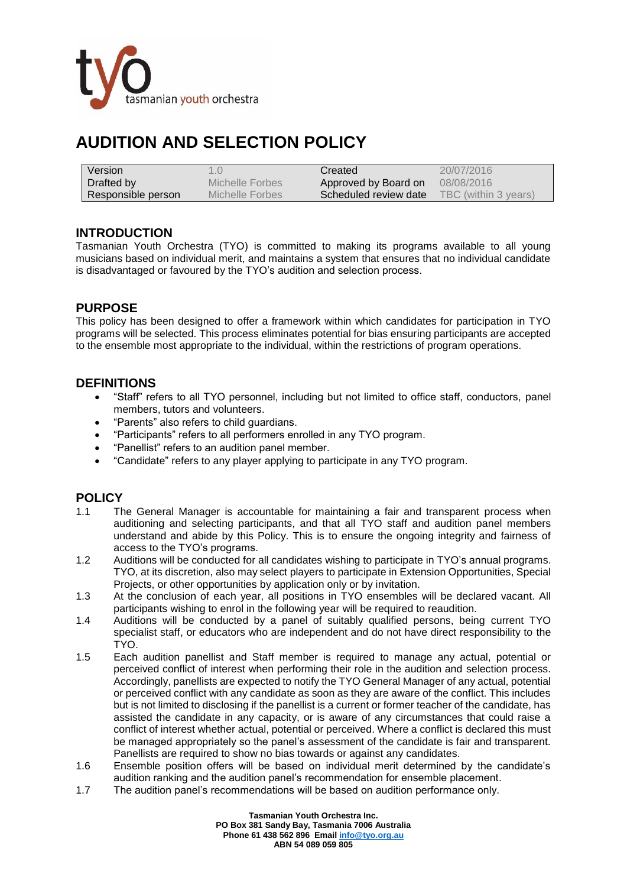

# **AUDITION AND SELECTION POLICY**

| Version            |                 | Created               | 20/07/2016           |
|--------------------|-----------------|-----------------------|----------------------|
| Drafted by         | Michelle Forbes | Approved by Board on  | 08/08/2016           |
| Responsible person | Michelle Forbes | Scheduled review date | TBC (within 3 years) |

## **INTRODUCTION**

Tasmanian Youth Orchestra (TYO) is committed to making its programs available to all young musicians based on individual merit, and maintains a system that ensures that no individual candidate is disadvantaged or favoured by the TYO's audition and selection process.

## **PURPOSE**

This policy has been designed to offer a framework within which candidates for participation in TYO programs will be selected. This process eliminates potential for bias ensuring participants are accepted to the ensemble most appropriate to the individual, within the restrictions of program operations.

## **DEFINITIONS**

- "Staff" refers to all TYO personnel, including but not limited to office staff, conductors, panel members, tutors and volunteers.
- "Parents" also refers to child guardians.
- "Participants" refers to all performers enrolled in any TYO program.
- "Panellist" refers to an audition panel member.
- "Candidate" refers to any player applying to participate in any TYO program.

## **POLICY**

- 1.1 The General Manager is accountable for maintaining a fair and transparent process when auditioning and selecting participants, and that all TYO staff and audition panel members understand and abide by this Policy. This is to ensure the ongoing integrity and fairness of access to the TYO's programs.
- 1.2 Auditions will be conducted for all candidates wishing to participate in TYO's annual programs. TYO, at its discretion, also may select players to participate in Extension Opportunities, Special Projects, or other opportunities by application only or by invitation.
- 1.3 At the conclusion of each year, all positions in TYO ensembles will be declared vacant. All participants wishing to enrol in the following year will be required to reaudition.
- 1.4 Auditions will be conducted by a panel of suitably qualified persons, being current TYO specialist staff, or educators who are independent and do not have direct responsibility to the TYO.
- 1.5 Each audition panellist and Staff member is required to manage any actual, potential or perceived conflict of interest when performing their role in the audition and selection process. Accordingly, panellists are expected to notify the TYO General Manager of any actual, potential or perceived conflict with any candidate as soon as they are aware of the conflict. This includes but is not limited to disclosing if the panellist is a current or former teacher of the candidate, has assisted the candidate in any capacity, or is aware of any circumstances that could raise a conflict of interest whether actual, potential or perceived. Where a conflict is declared this must be managed appropriately so the panel's assessment of the candidate is fair and transparent. Panellists are required to show no bias towards or against any candidates.
- 1.6 Ensemble position offers will be based on individual merit determined by the candidate's audition ranking and the audition panel's recommendation for ensemble placement.
- 1.7 The audition panel's recommendations will be based on audition performance only.

**Tasmanian Youth Orchestra Inc. PO Box 381 Sandy Bay, Tasmania 7006 Australia Phone 61 438 562 896 Emai[l info@tyo.org.au](mailto:info@tyo.org.au) ABN 54 089 059 805**